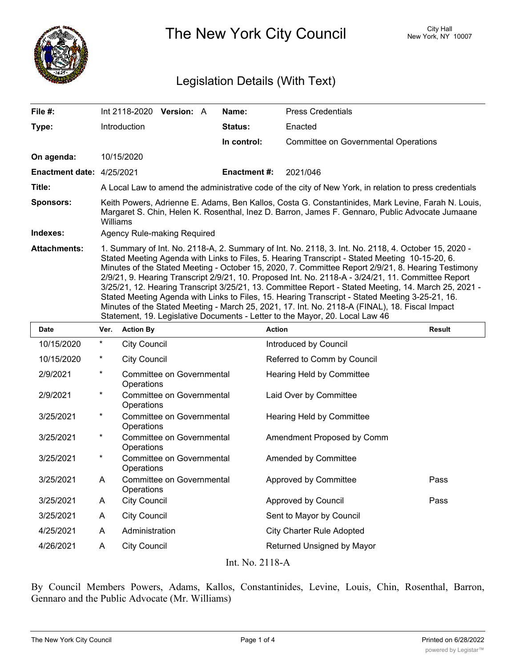

The New York City Council New York, NY 10007

## Legislation Details (With Text)

| File #:                          | Int 2118-2020<br><b>Version: A</b>                                                                                                                                                                                                                                                                                                                                                                                                                                                                                                                                                                                                                                                                                                                                                                             | Name:               | <b>Press Credentials</b>                    |  |  |
|----------------------------------|----------------------------------------------------------------------------------------------------------------------------------------------------------------------------------------------------------------------------------------------------------------------------------------------------------------------------------------------------------------------------------------------------------------------------------------------------------------------------------------------------------------------------------------------------------------------------------------------------------------------------------------------------------------------------------------------------------------------------------------------------------------------------------------------------------------|---------------------|---------------------------------------------|--|--|
| Type:                            | <b>Introduction</b>                                                                                                                                                                                                                                                                                                                                                                                                                                                                                                                                                                                                                                                                                                                                                                                            | Status:             | Enacted                                     |  |  |
|                                  |                                                                                                                                                                                                                                                                                                                                                                                                                                                                                                                                                                                                                                                                                                                                                                                                                | In control:         | <b>Committee on Governmental Operations</b> |  |  |
| On agenda:                       | 10/15/2020                                                                                                                                                                                                                                                                                                                                                                                                                                                                                                                                                                                                                                                                                                                                                                                                     |                     |                                             |  |  |
| <b>Enactment date: 4/25/2021</b> |                                                                                                                                                                                                                                                                                                                                                                                                                                                                                                                                                                                                                                                                                                                                                                                                                | <b>Enactment #:</b> | 2021/046                                    |  |  |
| Title:                           | A Local Law to amend the administrative code of the city of New York, in relation to press credentials                                                                                                                                                                                                                                                                                                                                                                                                                                                                                                                                                                                                                                                                                                         |                     |                                             |  |  |
| <b>Sponsors:</b>                 | Keith Powers, Adrienne E. Adams, Ben Kallos, Costa G. Constantinides, Mark Levine, Farah N. Louis,<br>Margaret S. Chin, Helen K. Rosenthal, Inez D. Barron, James F. Gennaro, Public Advocate Jumaane<br>Williams                                                                                                                                                                                                                                                                                                                                                                                                                                                                                                                                                                                              |                     |                                             |  |  |
| Indexes:                         | Agency Rule-making Required                                                                                                                                                                                                                                                                                                                                                                                                                                                                                                                                                                                                                                                                                                                                                                                    |                     |                                             |  |  |
| <b>Attachments:</b>              | 1. Summary of Int. No. 2118-A, 2. Summary of Int. No. 2118, 3. Int. No. 2118, 4. October 15, 2020 -<br>Stated Meeting Agenda with Links to Files, 5. Hearing Transcript - Stated Meeting 10-15-20, 6.<br>Minutes of the Stated Meeting - October 15, 2020, 7. Committee Report 2/9/21, 8. Hearing Testimony<br>2/9/21, 9. Hearing Transcript 2/9/21, 10. Proposed Int. No. 2118-A - 3/24/21, 11. Committee Report<br>3/25/21, 12. Hearing Transcript 3/25/21, 13. Committee Report - Stated Meeting, 14. March 25, 2021 -<br>Stated Meeting Agenda with Links to Files, 15. Hearing Transcript - Stated Meeting 3-25-21, 16.<br>Minutes of the Stated Meeting - March 25, 2021, 17. Int. No. 2118-A (FINAL), 18. Fiscal Impact<br>Statement, 19. Legislative Documents - Letter to the Mayor, 20. Local Law 46 |                     |                                             |  |  |

| <b>Date</b>     | Ver.     | <b>Action By</b>                               | <b>Action</b>                    | <b>Result</b> |  |
|-----------------|----------|------------------------------------------------|----------------------------------|---------------|--|
| 10/15/2020      | $^\ast$  | <b>City Council</b>                            | Introduced by Council            |               |  |
| 10/15/2020      | $^\ast$  | <b>City Council</b>                            | Referred to Comm by Council      |               |  |
| 2/9/2021        | $^\star$ | Committee on Governmental<br>Operations        | Hearing Held by Committee        |               |  |
| 2/9/2021        | *        | Committee on Governmental<br>Operations        | Laid Over by Committee           |               |  |
| 3/25/2021       | *        | <b>Committee on Governmental</b><br>Operations | Hearing Held by Committee        |               |  |
| 3/25/2021       | $^\star$ | Committee on Governmental<br>Operations        | Amendment Proposed by Comm       |               |  |
| 3/25/2021       | *        | Committee on Governmental<br>Operations        | Amended by Committee             |               |  |
| 3/25/2021       | A        | Committee on Governmental<br>Operations        | Approved by Committee            | Pass          |  |
| 3/25/2021       | A        | <b>City Council</b>                            | Approved by Council              | Pass          |  |
| 3/25/2021       | A        | <b>City Council</b>                            | Sent to Mayor by Council         |               |  |
| 4/25/2021       | A        | Administration                                 | <b>City Charter Rule Adopted</b> |               |  |
| 4/26/2021       | A        | <b>City Council</b>                            | Returned Unsigned by Mayor       |               |  |
| Int. No. 2118-A |          |                                                |                                  |               |  |

By Council Members Powers, Adams, Kallos, Constantinides, Levine, Louis, Chin, Rosenthal, Barron, Gennaro and the Public Advocate (Mr. Williams)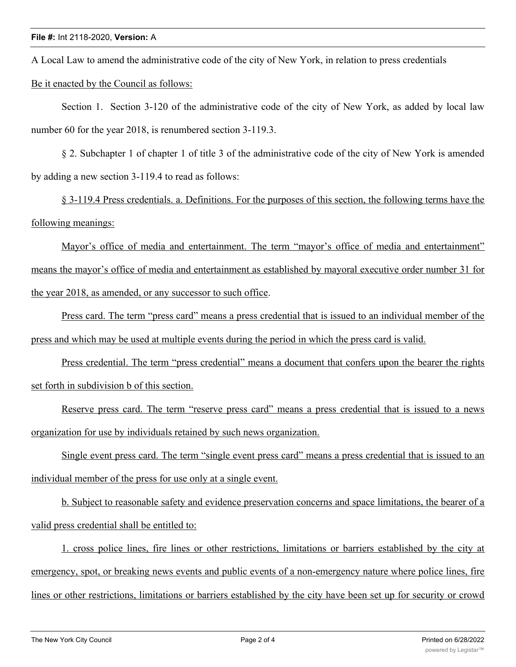A Local Law to amend the administrative code of the city of New York, in relation to press credentials

Be it enacted by the Council as follows:

Section 1. Section 3-120 of the administrative code of the city of New York, as added by local law number 60 for the year 2018, is renumbered section 3-119.3.

§ 2. Subchapter 1 of chapter 1 of title 3 of the administrative code of the city of New York is amended by adding a new section 3-119.4 to read as follows:

§ 3-119.4 Press credentials. a. Definitions. For the purposes of this section, the following terms have the following meanings:

Mayor's office of media and entertainment. The term "mayor's office of media and entertainment" means the mayor's office of media and entertainment as established by mayoral executive order number 31 for the year 2018, as amended, or any successor to such office.

Press card. The term "press card" means a press credential that is issued to an individual member of the press and which may be used at multiple events during the period in which the press card is valid.

Press credential. The term "press credential" means a document that confers upon the bearer the rights set forth in subdivision b of this section.

Reserve press card. The term "reserve press card" means a press credential that is issued to a news organization for use by individuals retained by such news organization.

Single event press card. The term "single event press card" means a press credential that is issued to an individual member of the press for use only at a single event.

b. Subject to reasonable safety and evidence preservation concerns and space limitations, the bearer of a valid press credential shall be entitled to:

1. cross police lines, fire lines or other restrictions, limitations or barriers established by the city at emergency, spot, or breaking news events and public events of a non-emergency nature where police lines, fire lines or other restrictions, limitations or barriers established by the city have been set up for security or crowd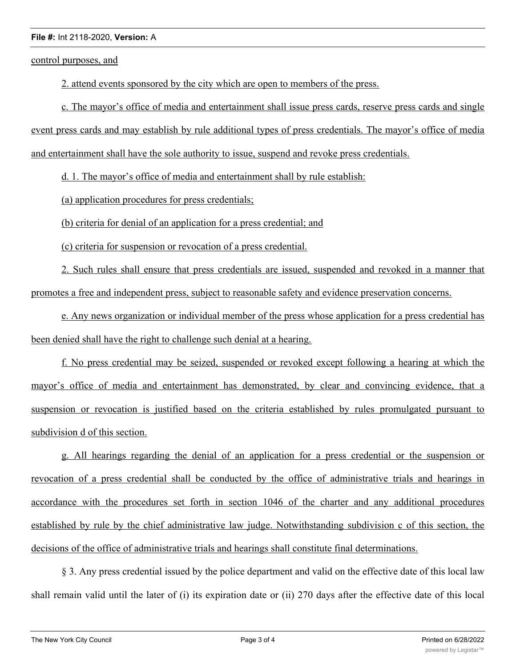## **File #:** Int 2118-2020, **Version:** A

control purposes, and

2. attend events sponsored by the city which are open to members of the press.

c. The mayor's office of media and entertainment shall issue press cards, reserve press cards and single event press cards and may establish by rule additional types of press credentials. The mayor's office of media and entertainment shall have the sole authority to issue, suspend and revoke press credentials.

d. 1. The mayor's office of media and entertainment shall by rule establish:

(a) application procedures for press credentials;

(b) criteria for denial of an application for a press credential; and

(c) criteria for suspension or revocation of a press credential.

2. Such rules shall ensure that press credentials are issued, suspended and revoked in a manner that promotes a free and independent press, subject to reasonable safety and evidence preservation concerns.

e. Any news organization or individual member of the press whose application for a press credential has been denied shall have the right to challenge such denial at a hearing.

f. No press credential may be seized, suspended or revoked except following a hearing at which the mayor's office of media and entertainment has demonstrated, by clear and convincing evidence, that a suspension or revocation is justified based on the criteria established by rules promulgated pursuant to subdivision d of this section.

g. All hearings regarding the denial of an application for a press credential or the suspension or revocation of a press credential shall be conducted by the office of administrative trials and hearings in accordance with the procedures set forth in section 1046 of the charter and any additional procedures established by rule by the chief administrative law judge. Notwithstanding subdivision c of this section, the decisions of the office of administrative trials and hearings shall constitute final determinations.

§ 3. Any press credential issued by the police department and valid on the effective date of this local law shall remain valid until the later of (i) its expiration date or (ii) 270 days after the effective date of this local